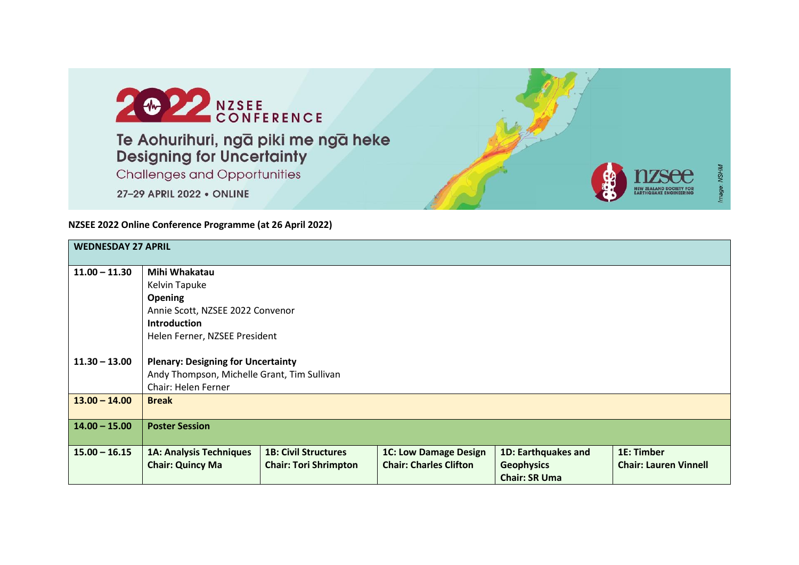

## **NZSEE 2022 Online Conference Programme (at 26 April 2022)**

| <b>WEDNESDAY 27 APRIL</b> |                                             |                              |                               |                      |                              |
|---------------------------|---------------------------------------------|------------------------------|-------------------------------|----------------------|------------------------------|
| $11.00 - 11.30$           | Mihi Whakatau                               |                              |                               |                      |                              |
|                           | Kelvin Tapuke                               |                              |                               |                      |                              |
|                           | <b>Opening</b>                              |                              |                               |                      |                              |
|                           | Annie Scott, NZSEE 2022 Convenor            |                              |                               |                      |                              |
|                           | <b>Introduction</b>                         |                              |                               |                      |                              |
|                           | Helen Ferner, NZSEE President               |                              |                               |                      |                              |
|                           |                                             |                              |                               |                      |                              |
| $11.30 - 13.00$           | <b>Plenary: Designing for Uncertainty</b>   |                              |                               |                      |                              |
|                           | Andy Thompson, Michelle Grant, Tim Sullivan |                              |                               |                      |                              |
|                           | Chair: Helen Ferner                         |                              |                               |                      |                              |
| $13.00 - 14.00$           | <b>Break</b>                                |                              |                               |                      |                              |
|                           |                                             |                              |                               |                      |                              |
| $14.00 - 15.00$           | <b>Poster Session</b>                       |                              |                               |                      |                              |
|                           |                                             |                              |                               |                      |                              |
| $15.00 - 16.15$           | <b>1A: Analysis Techniques</b>              | <b>1B: Civil Structures</b>  | <b>1C: Low Damage Design</b>  | 1D: Earthquakes and  | 1E: Timber                   |
|                           | <b>Chair: Quincy Ma</b>                     | <b>Chair: Tori Shrimpton</b> | <b>Chair: Charles Clifton</b> | <b>Geophysics</b>    | <b>Chair: Lauren Vinnell</b> |
|                           |                                             |                              |                               | <b>Chair: SR Uma</b> |                              |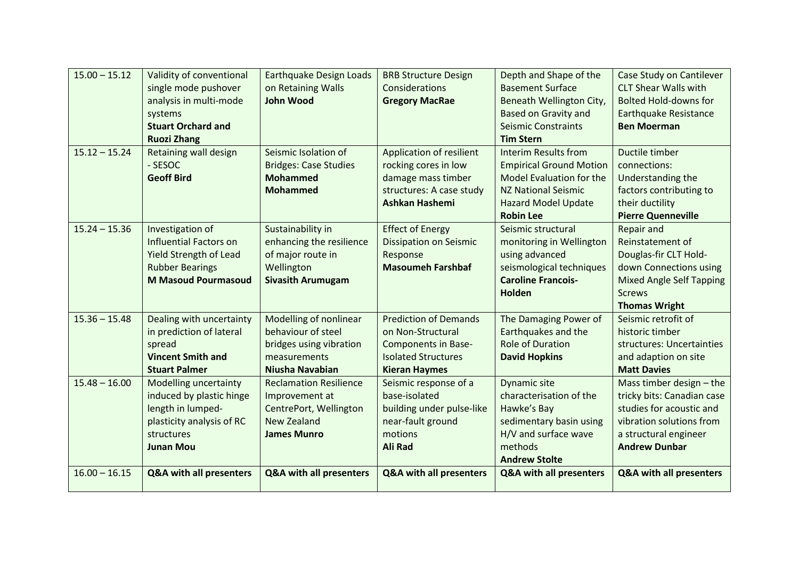| $15.00 - 15.12$ | Validity of conventional      | <b>Earthquake Design Loads</b> | <b>BRB Structure Design</b>   | Depth and Shape of the             | Case Study on Cantilever           |
|-----------------|-------------------------------|--------------------------------|-------------------------------|------------------------------------|------------------------------------|
|                 | single mode pushover          | on Retaining Walls             | Considerations                | <b>Basement Surface</b>            | <b>CLT Shear Walls with</b>        |
|                 | analysis in multi-mode        | <b>John Wood</b>               | <b>Gregory MacRae</b>         | Beneath Wellington City,           | <b>Bolted Hold-downs for</b>       |
|                 | systems                       |                                |                               | <b>Based on Gravity and</b>        | <b>Earthquake Resistance</b>       |
|                 | <b>Stuart Orchard and</b>     |                                |                               | <b>Seismic Constraints</b>         | <b>Ben Moerman</b>                 |
|                 | <b>Ruozi Zhang</b>            |                                |                               | <b>Tim Stern</b>                   |                                    |
| $15.12 - 15.24$ | Retaining wall design         | Seismic Isolation of           | Application of resilient      | <b>Interim Results from</b>        | Ductile timber                     |
|                 | - SESOC                       | <b>Bridges: Case Studies</b>   | rocking cores in low          | <b>Empirical Ground Motion</b>     | connections:                       |
|                 | <b>Geoff Bird</b>             | <b>Mohammed</b>                | damage mass timber            | Model Evaluation for the           | Understanding the                  |
|                 |                               | <b>Mohammed</b>                | structures: A case study      | <b>NZ National Seismic</b>         | factors contributing to            |
|                 |                               |                                | Ashkan Hashemi                | <b>Hazard Model Update</b>         | their ductility                    |
|                 |                               |                                |                               | <b>Robin Lee</b>                   | <b>Pierre Quenneville</b>          |
| $15.24 - 15.36$ | Investigation of              | Sustainability in              | <b>Effect of Energy</b>       | Seismic structural                 | <b>Repair and</b>                  |
|                 | <b>Influential Factors on</b> | enhancing the resilience       | <b>Dissipation on Seismic</b> | monitoring in Wellington           | Reinstatement of                   |
|                 | <b>Yield Strength of Lead</b> | of major route in              | Response                      | using advanced                     | Douglas-fir CLT Hold-              |
|                 | <b>Rubber Bearings</b>        | Wellington                     | <b>Masoumeh Farshbaf</b>      | seismological techniques           | down Connections using             |
|                 | <b>M Masoud Pourmasoud</b>    | <b>Sivasith Arumugam</b>       |                               | <b>Caroline Francois-</b>          | <b>Mixed Angle Self Tapping</b>    |
|                 |                               |                                |                               | <b>Holden</b>                      | <b>Screws</b>                      |
|                 |                               |                                |                               |                                    | <b>Thomas Wright</b>               |
| $15.36 - 15.48$ | Dealing with uncertainty      | Modelling of nonlinear         | <b>Prediction of Demands</b>  | The Damaging Power of              | Seismic retrofit of                |
|                 | in prediction of lateral      | behaviour of steel             | on Non-Structural             | Earthquakes and the                | historic timber                    |
|                 | spread                        | bridges using vibration        | <b>Components in Base-</b>    | <b>Role of Duration</b>            | structures: Uncertainties          |
|                 | <b>Vincent Smith and</b>      | measurements                   | <b>Isolated Structures</b>    | <b>David Hopkins</b>               | and adaption on site               |
|                 | <b>Stuart Palmer</b>          | Niusha Navabian                | <b>Kieran Haymes</b>          |                                    | <b>Matt Davies</b>                 |
| $15.48 - 16.00$ | <b>Modelling uncertainty</b>  | <b>Reclamation Resilience</b>  | Seismic response of a         | Dynamic site                       | Mass timber design - the           |
|                 | induced by plastic hinge      | Improvement at                 | base-isolated                 | characterisation of the            | tricky bits: Canadian case         |
|                 | length in lumped-             | CentrePort, Wellington         | building under pulse-like     | Hawke's Bay                        | studies for acoustic and           |
|                 | plasticity analysis of RC     | <b>New Zealand</b>             | near-fault ground             | sedimentary basin using            | vibration solutions from           |
|                 | structures                    | <b>James Munro</b>             | motions                       | H/V and surface wave               | a structural engineer              |
|                 | <b>Junan Mou</b>              |                                | <b>Ali Rad</b>                | methods                            | <b>Andrew Dunbar</b>               |
|                 |                               |                                |                               | <b>Andrew Stolte</b>               |                                    |
| $16.00 - 16.15$ | Q&A with all presenters       | Q&A with all presenters        | Q&A with all presenters       | <b>Q&amp;A with all presenters</b> | <b>Q&amp;A with all presenters</b> |
|                 |                               |                                |                               |                                    |                                    |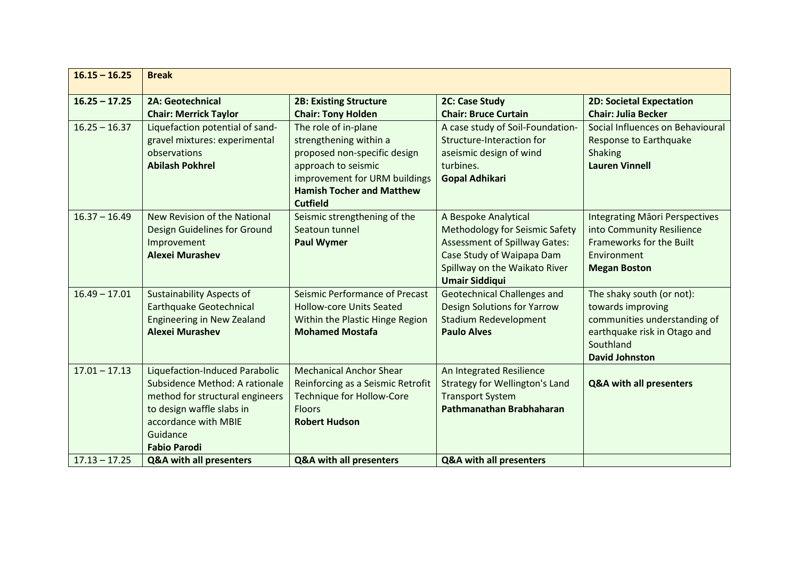| $16.15 - 16.25$ | <b>Break</b>                                                                                                                                                                                |                                                                                                                                                                                               |                                                                                                                                                                                              |                                                                                                                                                      |
|-----------------|---------------------------------------------------------------------------------------------------------------------------------------------------------------------------------------------|-----------------------------------------------------------------------------------------------------------------------------------------------------------------------------------------------|----------------------------------------------------------------------------------------------------------------------------------------------------------------------------------------------|------------------------------------------------------------------------------------------------------------------------------------------------------|
| $16.25 - 17.25$ | <b>2A: Geotechnical</b><br><b>Chair: Merrick Taylor</b>                                                                                                                                     | <b>2B: Existing Structure</b><br><b>Chair: Tony Holden</b>                                                                                                                                    | 2C: Case Study<br><b>Chair: Bruce Curtain</b>                                                                                                                                                | <b>2D: Societal Expectation</b><br><b>Chair: Julia Becker</b>                                                                                        |
| $16.25 - 16.37$ | Liquefaction potential of sand-<br>gravel mixtures: experimental<br>observations<br><b>Abilash Pokhrel</b>                                                                                  | The role of in-plane<br>strengthening within a<br>proposed non-specific design<br>approach to seismic<br>improvement for URM buildings<br><b>Hamish Tocher and Matthew</b><br><b>Cutfield</b> | A case study of Soil-Foundation-<br><b>Structure-Interaction for</b><br>aseismic design of wind<br>turbines.<br><b>Gopal Adhikari</b>                                                        | Social Influences on Behavioural<br><b>Response to Earthquake</b><br><b>Shaking</b><br><b>Lauren Vinnell</b>                                         |
| $16.37 - 16.49$ | New Revision of the National<br>Design Guidelines for Ground<br>Improvement<br><b>Alexei Murashev</b>                                                                                       | Seismic strengthening of the<br>Seatoun tunnel<br><b>Paul Wymer</b>                                                                                                                           | A Bespoke Analytical<br><b>Methodology for Seismic Safety</b><br><b>Assessment of Spillway Gates:</b><br>Case Study of Waipapa Dam<br>Spillway on the Waikato River<br><b>Umair Siddiqui</b> | <b>Integrating Maori Perspectives</b><br>into Community Resilience<br><b>Frameworks for the Built</b><br>Environment<br><b>Megan Boston</b>          |
| $16.49 - 17.01$ | <b>Sustainability Aspects of</b><br><b>Earthquake Geotechnical</b><br><b>Engineering in New Zealand</b><br><b>Alexei Murashev</b>                                                           | Seismic Performance of Precast<br><b>Hollow-core Units Seated</b><br>Within the Plastic Hinge Region<br><b>Mohamed Mostafa</b>                                                                | <b>Geotechnical Challenges and</b><br><b>Design Solutions for Yarrow</b><br><b>Stadium Redevelopment</b><br><b>Paulo Alves</b>                                                               | The shaky south (or not):<br>towards improving<br>communities understanding of<br>earthquake risk in Otago and<br>Southland<br><b>David Johnston</b> |
| $17.01 - 17.13$ | Liquefaction-Induced Parabolic<br>Subsidence Method: A rationale<br>method for structural engineers<br>to design waffle slabs in<br>accordance with MBIE<br>Guidance<br><b>Fabio Parodi</b> | <b>Mechanical Anchor Shear</b><br>Reinforcing as a Seismic Retrofit<br><b>Technique for Hollow-Core</b><br><b>Floors</b><br><b>Robert Hudson</b>                                              | An Integrated Resilience<br><b>Strategy for Wellington's Land</b><br><b>Transport System</b><br>Pathmanathan Brabhaharan                                                                     | <b>Q&amp;A with all presenters</b>                                                                                                                   |
| $17.13 - 17.25$ | <b>Q&amp;A with all presenters</b>                                                                                                                                                          | <b>Q&amp;A with all presenters</b>                                                                                                                                                            | Q&A with all presenters                                                                                                                                                                      |                                                                                                                                                      |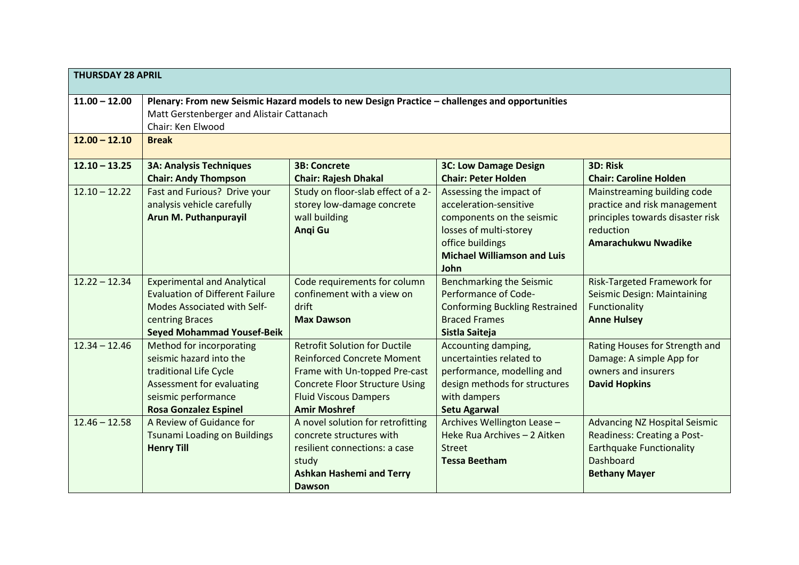| <b>THURSDAY 28 APRIL</b> |                                                                                                                                                                     |                                                                                                                                                                                                            |                                                                                                                                                                            |                                                                                                                                             |
|--------------------------|---------------------------------------------------------------------------------------------------------------------------------------------------------------------|------------------------------------------------------------------------------------------------------------------------------------------------------------------------------------------------------------|----------------------------------------------------------------------------------------------------------------------------------------------------------------------------|---------------------------------------------------------------------------------------------------------------------------------------------|
| $11.00 - 12.00$          | Plenary: From new Seismic Hazard models to new Design Practice - challenges and opportunities<br>Matt Gerstenberger and Alistair Cattanach<br>Chair: Ken Elwood     |                                                                                                                                                                                                            |                                                                                                                                                                            |                                                                                                                                             |
| $12.00 - 12.10$          | <b>Break</b>                                                                                                                                                        |                                                                                                                                                                                                            |                                                                                                                                                                            |                                                                                                                                             |
| $12.10 - 13.25$          | <b>3A: Analysis Techniques</b><br><b>Chair: Andy Thompson</b>                                                                                                       | <b>3B: Concrete</b><br><b>Chair: Rajesh Dhakal</b>                                                                                                                                                         | <b>3C: Low Damage Design</b><br><b>Chair: Peter Holden</b>                                                                                                                 | 3D: Risk<br><b>Chair: Caroline Holden</b>                                                                                                   |
| $12.10 - 12.22$          | Fast and Furious? Drive your<br>analysis vehicle carefully<br>Arun M. Puthanpurayil                                                                                 | Study on floor-slab effect of a 2-<br>storey low-damage concrete<br>wall building<br>Angi Gu                                                                                                               | Assessing the impact of<br>acceleration-sensitive<br>components on the seismic<br>losses of multi-storey<br>office buildings<br><b>Michael Williamson and Luis</b><br>John | Mainstreaming building code<br>practice and risk management<br>principles towards disaster risk<br>reduction<br><b>Amarachukwu Nwadike</b>  |
| $12.22 - 12.34$          | <b>Experimental and Analytical</b><br><b>Evaluation of Different Failure</b><br>Modes Associated with Self-<br>centring Braces<br><b>Seyed Mohammad Yousef-Beik</b> | Code requirements for column<br>confinement with a view on<br>drift<br><b>Max Dawson</b>                                                                                                                   | <b>Benchmarking the Seismic</b><br>Performance of Code-<br><b>Conforming Buckling Restrained</b><br><b>Braced Frames</b><br>Sistla Saiteja                                 | <b>Risk-Targeted Framework for</b><br>Seismic Design: Maintaining<br>Functionality<br><b>Anne Hulsey</b>                                    |
| $12.34 - 12.46$          | Method for incorporating<br>seismic hazard into the<br>traditional Life Cycle<br>Assessment for evaluating<br>seismic performance<br><b>Rosa Gonzalez Espinel</b>   | <b>Retrofit Solution for Ductile</b><br><b>Reinforced Concrete Moment</b><br>Frame with Un-topped Pre-cast<br><b>Concrete Floor Structure Using</b><br><b>Fluid Viscous Dampers</b><br><b>Amir Moshref</b> | Accounting damping,<br>uncertainties related to<br>performance, modelling and<br>design methods for structures<br>with dampers<br><b>Setu Agarwal</b>                      | Rating Houses for Strength and<br>Damage: A simple App for<br>owners and insurers<br><b>David Hopkins</b>                                   |
| $12.46 - 12.58$          | A Review of Guidance for<br><b>Tsunami Loading on Buildings</b><br><b>Henry Till</b>                                                                                | A novel solution for retrofitting<br>concrete structures with<br>resilient connections: a case<br>study<br><b>Ashkan Hashemi and Terry</b><br><b>Dawson</b>                                                | Archives Wellington Lease -<br>Heke Rua Archives - 2 Aitken<br>Street<br><b>Tessa Beetham</b>                                                                              | <b>Advancing NZ Hospital Seismic</b><br>Readiness: Creating a Post-<br><b>Earthquake Functionality</b><br>Dashboard<br><b>Bethany Mayer</b> |